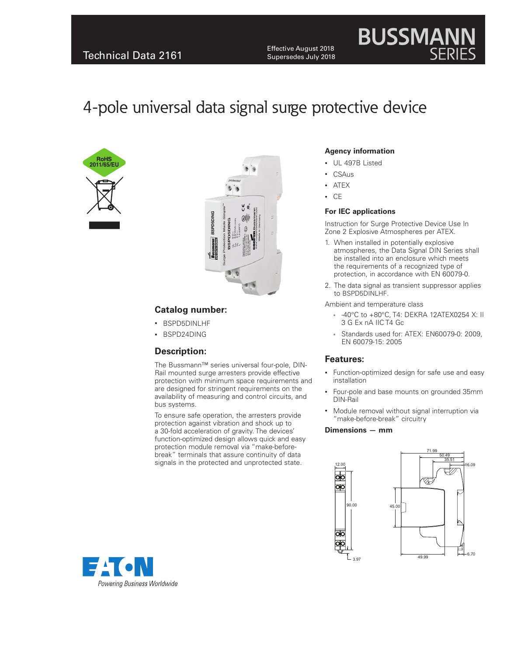Effective August 2018<br>
Technical Data 2161 Effective August 2018 Supersedes July 2018

# **BUSSMAN**

## 4-pole universal data signal surge protective device





#### **Catalog number:**

- BSPD5DINLHF
- BSPD24DING

#### **Description:**

The Bussmann™ series universal four-pole, DIN-Rail mounted surge arresters provide effective protection with minimum space requirements and are designed for stringent requirements on the availability of measuring and control circuits, and bus systems.

To ensure safe operation, the arresters provide protection against vibration and shock up to a 30-fold acceleration of gravity. The devices' function-optimized design allows quick and easy protection module removal via "make-beforebreak" terminals that assure continuity of data signals in the protected and unprotected state.

#### **Agency information**

- UL 497B Listed
- CSAus
- ATEX
- CE

#### **For IEC applications**

Instruction for Surge Protective Device Use In Zone 2 Explosive Atmospheres per ATEX.

- 1. When installed in potentially explosive atmospheres, the Data Signal DIN Series shall be installed into an enclosure which meets the requirements of a recognized type of protection, in accordance with EN 60079-0.
- 2. The data signal as transient suppressor applies to BSPD5DINLHF.

Ambient and temperature class

- -40°C to +80°C, T4: DEKRA 12ATEX0254 X: II 3 G Ex nA IIC T4 Gc
- Standards used for: ATEX: EN60079-0: 2009, EN 60079-15: 2005

#### **Features:**

- Function-optimized design for safe use and easy installation
- Four-pole and base mounts on grounded 35mm DIN-Rail
- Module removal without signal interruption via "make-before-break" circuitry

#### **Dimensions — mm**

12.00

Ъ



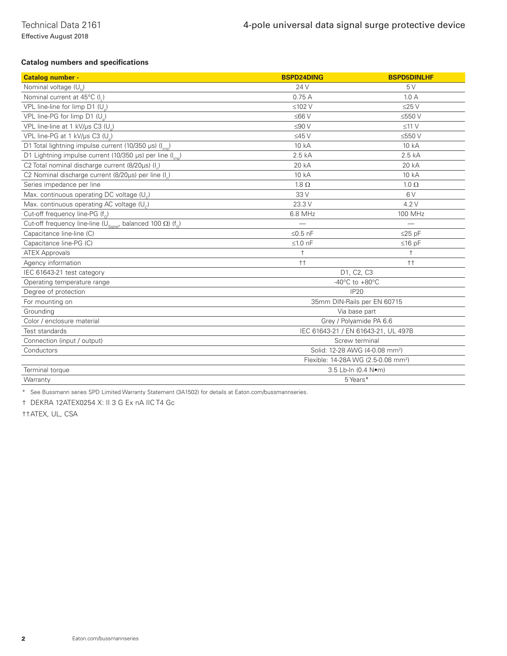**Catalog numbers and specifications**

| <b>Catalog number -</b>                                                                       | <b>BSPD24DING</b>                               | <b>BSPD5DINLHF</b> |
|-----------------------------------------------------------------------------------------------|-------------------------------------------------|--------------------|
| Nominal voltage (U)                                                                           | 24 V                                            | 5V                 |
| Nominal current at 45°C (I,)                                                                  | 0.75A                                           | 1.0A               |
| VPL line-line for limp D1 (U)                                                                 | $≤102$ V                                        | $\leq$ 25 V        |
| VPL line-PG for limp D1 (U)                                                                   | $≤66V$                                          | ≤550 V             |
| VPL line-line at 1 kV/us C3 (U)                                                               | $≤90V$                                          | $\leq$ 11 V        |
| VPL line-PG at 1 kV/µs C3 (U)                                                                 | $\leq$ 45 V                                     | ≤550V              |
| D1 Total lightning impulse current (10/350 µs) (I <sub>imp</sub> )                            | 10 kA                                           | 10 kA              |
| D1 Lightning impulse current (10/350 µs) per line (I <sub>imp</sub> )                         | 2.5 kA                                          | 2.5kA              |
| C2 Total nominal discharge current (8/20us) (I)                                               | 20 kA                                           | 20 kA              |
| C2 Nominal discharge current (8/20µs) per line (I)                                            | 10 kA                                           | 10 kA              |
| Series impedance per line                                                                     | $1.8 \Omega$                                    | $1.0 \Omega$       |
| Max. continuous operating DC voltage (U <sub>c</sub> )                                        | 33 V                                            | 6V                 |
| Max. continuous operating AC voltage $(U_c)$                                                  | 23.3 V                                          | 4.2V               |
| Cut-off frequency line-PG (f)                                                                 | 6.8 MHz                                         | 100 MHz            |
| Cut-off frequency line-line ( $U_{\text{Sional}}$ , balanced 100 $\Omega$ ) (f <sub>G</sub> ) |                                                 |                    |
| Capacitance line-line (C)                                                                     | $\leq$ 0.5 nF                                   | $\leq$ 25 pF       |
| Capacitance line-PG (C)                                                                       | $≤1.0$ nF                                       | $≤16$ pF           |
| <b>ATEX Approvals</b>                                                                         | $\ddagger$                                      | $\ddagger$         |
| Agency information                                                                            | $^{\dagger\dagger}$                             | $++$               |
| IEC 61643-21 test category                                                                    | D1, C2, C3                                      |                    |
| Operating temperature range                                                                   | -40 $^{\circ}$ C to +80 $^{\circ}$ C            |                    |
| Degree of protection                                                                          | <b>IP20</b>                                     |                    |
| For mounting on                                                                               | 35mm DIN-Rails per EN 60715                     |                    |
| Grounding                                                                                     | Via base part                                   |                    |
| Color / enclosure material                                                                    | Grey / Polyamide PA 6.6                         |                    |
| Test standards                                                                                | IEC 61643-21 / EN 61643-21, UL 497B             |                    |
| Connection (input / output)                                                                   | Screw terminal                                  |                    |
| Conductors                                                                                    | Solid: 12-28 AWG (4-0.08 mm <sup>2</sup> )      |                    |
|                                                                                               | Flexible: 14-28A WG (2.5-0.08 mm <sup>2</sup> ) |                    |
| Terminal torque                                                                               | 3.5 Lb-In (0.4 Nom)                             |                    |
| Warranty                                                                                      | 5 Years*                                        |                    |

\* See Bussmann series SPD Limited Warranty Statement (3A1502) for details at Eaton.com/bussmannseries.

† DEKRA 12ATEX0254 X: II 3 G Ex nA IIC T4 Gc

††ATEX, UL, CSA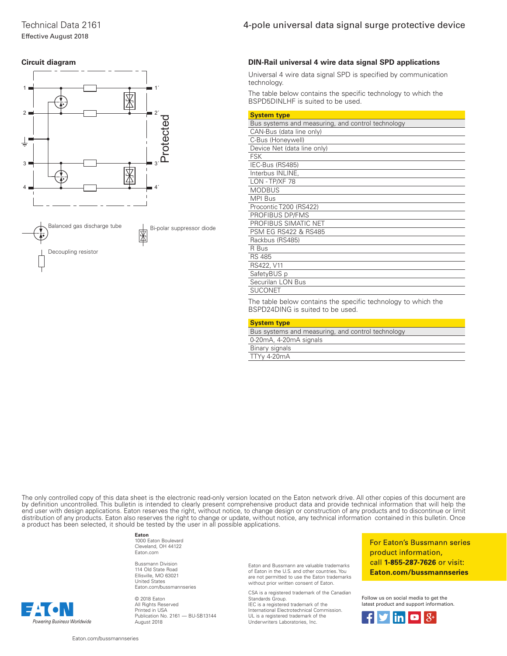## Effective August 2018





Technical Data 2161 4-pole universal data signal surge protective device

#### **DIN-Rail universal 4 wire data signal SPD applications**

Universal 4 wire data signal SPD is specified by communication technology.

The table below contains the specific technology to which the BSPD5DINLHF is suited to be used.

| <b>System type</b>                                |
|---------------------------------------------------|
| Bus systems and measuring, and control technology |
| CAN-Bus (data line only)                          |
| C-Bus (Honeywell)                                 |
| Device Net (data line only)                       |
| <b>FSK</b>                                        |
| IEC-Bus (RS485)                                   |
| Interbus INLINE,                                  |
| LON - TP/XF 78                                    |
| <b>MODBUS</b>                                     |
| <b>MPI Bus</b>                                    |
| Procontic T200 (RS422)                            |
| PROFIBUS DP/FMS                                   |
| PROFIBUS SIMATIC NET                              |
| <b>PSM EG RS422 &amp; RS485</b>                   |
| Rackbus (RS485)                                   |
| R Bus                                             |
| <b>RS 485</b>                                     |
| RS422, V11                                        |
| SafetyBUS p                                       |
| Securilan LON Bus                                 |
| <b>SUCONET</b>                                    |

The table below contains the specific technology to which the BSPD24DING is suited to be used.

| <b>System type</b>                                |
|---------------------------------------------------|
| Bus systems and measuring, and control technology |
| 0-20mA, 4-20mA signals                            |
| Binary signals                                    |
| TTYy 4-20mA                                       |
|                                                   |

The only controlled copy of this data sheet is the electronic read-only version located on the Eaton network drive. All other copies of this document are by definition uncontrolled. This bulletin is intended to clearly present comprehensive product data and provide technical information that will help the end user with design applications. Eaton reserves the right, without notice, to change design or construction of any products and to discontinue or limit distribution of any products. Eaton also reserves the right to change or update, without notice, any technical information contained in this bulletin. Once a product has been selected, it should be tested by the user in all possible applications.

**Eaton**

1000 Eaton Boulevard Cleveland, OH 44122 Eaton.com

Bussmann Division 114 Old State Road Ellisville, MO 63021 United States Eaton.com/bussmannseries

© 2018 Eaton All Rights Reserved Printed in USA Publication No. 2161 — BU-SB13144 August 2018

Eaton and Bussmann are valuable trademarks of Eaton in the U.S. and other countries. You are not permitted to use the Eaton trademarks without prior written consent of Eaton.

CSA is a registered trademark of the Canadian Standards Group. IEC is a registered trademark of the International Electrotechnical Commission. UL is a registered trademark of the Underwriters Laboratories, Inc.

For Eaton's Bussmann series product information, call 1-855-287-7626 or visit: Eaton.com/bussmannseries

Follow us on social media to get the latest product and support information.



Powering Business Worldwide